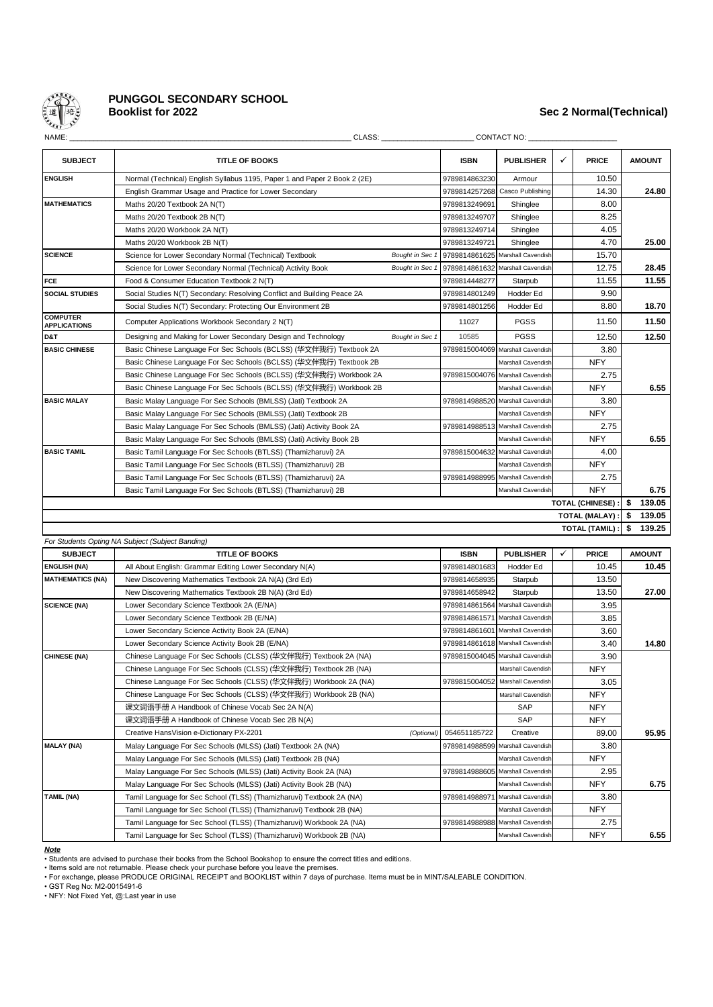

# **PUNGGOL SECONDARY SCHOOL**

## **Booklist for 2022 Sec 2 Normal(Technical)**

| NAME:                                  | CLASS:                                                                    |                 |                               | CONTACT NO:                      |   |                         |    |               |
|----------------------------------------|---------------------------------------------------------------------------|-----------------|-------------------------------|----------------------------------|---|-------------------------|----|---------------|
| <b>SUBJECT</b>                         | <b>TITLE OF BOOKS</b>                                                     |                 | <b>ISBN</b>                   | <b>PUBLISHER</b>                 | ✓ | <b>PRICE</b>            |    | <b>AMOUNT</b> |
| <b>ENGLISH</b>                         | Normal (Technical) English Syllabus 1195, Paper 1 and Paper 2 Book 2 (2E) |                 | 9789814863230                 | Armour                           |   | 10.50                   |    |               |
|                                        | English Grammar Usage and Practice for Lower Secondary                    |                 | 9789814257268                 | Casco Publishing                 |   | 14.30                   |    | 24.80         |
| <b>MATHEMATICS</b>                     | Maths 20/20 Textbook 2A N(T)                                              |                 | 9789813249691                 | Shinglee                         |   | 8.00                    |    |               |
|                                        | Maths 20/20 Textbook 2B N(T)                                              |                 | 9789813249707                 | Shinglee                         |   | 8.25                    |    |               |
|                                        | Maths 20/20 Workbook 2A N(T)                                              |                 | 9789813249714                 | Shinglee                         |   | 4.05                    |    |               |
|                                        | Maths 20/20 Workbook 2B N(T)                                              |                 | 9789813249721                 | Shinglee                         |   | 4.70                    |    | 25.00         |
| <b>SCIENCE</b>                         | Science for Lower Secondary Normal (Technical) Textbook                   |                 | Bought in Sec 1 9789814861625 | Marshall Cavendish               |   | 15.70                   |    |               |
|                                        | Science for Lower Secondary Normal (Technical) Activity Book              | Bought in Sec 1 |                               | 9789814861632 Marshall Cavendish |   | 12.75                   |    | 28.45         |
| <b>FCE</b>                             | Food & Consumer Education Textbook 2 N(T)                                 |                 | 9789814448277                 | Starpub                          |   | 11.55                   |    | 11.55         |
| <b>SOCIAL STUDIES</b>                  | Social Studies N(T) Secondary: Resolving Conflict and Building Peace 2A   |                 | 9789814801249                 | Hodder Ed                        |   | 9.90                    |    |               |
|                                        | Social Studies N(T) Secondary: Protecting Our Environment 2B              |                 | 9789814801256                 | Hodder Ed                        |   | 8.80                    |    | 18.70         |
| <b>COMPUTER</b><br><b>APPLICATIONS</b> | Computer Applications Workbook Secondary 2 N(T)                           |                 | 11027                         | <b>PGSS</b>                      |   | 11.50                   |    | 11.50         |
| D&T                                    | Designing and Making for Lower Secondary Design and Technology            | Bought in Sec 1 | 10585                         | <b>PGSS</b>                      |   | 12.50                   |    | 12.50         |
| <b>BASIC CHINESE</b>                   | Basic Chinese Language For Sec Schools (BCLSS) (华文伴我行) Textbook 2A        |                 | 9789815004069                 | Marshall Cavendish               |   | 3.80                    |    |               |
|                                        | Basic Chinese Language For Sec Schools (BCLSS) (华文伴我行) Textbook 2B        |                 |                               | Marshall Cavendish               |   | <b>NFY</b>              |    |               |
|                                        | Basic Chinese Language For Sec Schools (BCLSS) (华文伴我行) Workbook 2A        |                 |                               | 9789815004076 Marshall Cavendish |   | 2.75                    |    |               |
|                                        | Basic Chinese Language For Sec Schools (BCLSS) (华文伴我行) Workbook 2B        |                 |                               | Marshall Cavendish               |   | <b>NFY</b>              |    | 6.55          |
| <b>BASIC MALAY</b>                     | Basic Malay Language For Sec Schools (BMLSS) (Jati) Textbook 2A           |                 |                               | 9789814988520 Marshall Cavendish |   | 3.80                    |    |               |
|                                        | Basic Malay Language For Sec Schools (BMLSS) (Jati) Textbook 2B           |                 |                               | <b>Marshall Cavendish</b>        |   | <b>NFY</b>              |    |               |
|                                        | Basic Malay Language For Sec Schools (BMLSS) (Jati) Activity Book 2A      |                 | 9789814988513                 | Marshall Cavendish               |   | 2.75                    |    |               |
|                                        | Basic Malay Language For Sec Schools (BMLSS) (Jati) Activity Book 2B      |                 |                               | Marshall Cavendish               |   | <b>NFY</b>              |    | 6.55          |
| <b>BASIC TAMIL</b>                     | Basic Tamil Language For Sec Schools (BTLSS) (Thamizharuvi) 2A            |                 |                               | 9789815004632 Marshall Cavendish |   | 4.00                    |    |               |
|                                        | Basic Tamil Language For Sec Schools (BTLSS) (Thamizharuvi) 2B            |                 |                               | Marshall Cavendish               |   | <b>NFY</b>              |    |               |
|                                        | Basic Tamil Language For Sec Schools (BTLSS) (Thamizharuvi) 2A            |                 | 9789814988995                 | Marshall Cavendish               |   | 2.75                    |    |               |
|                                        | Basic Tamil Language For Sec Schools (BTLSS) (Thamizharuvi) 2B            |                 |                               | Marshall Cavendish               |   | <b>NFY</b>              |    | 6.75          |
|                                        |                                                                           |                 |                               |                                  |   | <b>TOTAL (CHINESE):</b> | £. | 139.05        |
|                                        |                                                                           |                 |                               |                                  |   | TOTAL (MALAY) :         | \$ | 139.05        |
|                                        |                                                                           |                 |                               |                                  |   | <b>TOTAL (TAMIL)</b>    | \$ | 139.25        |

| <b>SUBJECT</b>          | <b>TITLE OF BOOKS</b>                                                | <b>ISBN</b>                | <b>PUBLISHER</b>                 | ✓ | <b>PRICE</b> | <b>AMOUNT</b> |
|-------------------------|----------------------------------------------------------------------|----------------------------|----------------------------------|---|--------------|---------------|
| <b>ENGLISH (NA)</b>     | All About English: Grammar Editing Lower Secondary N(A)              | 9789814801683              | Hodder Ed                        |   | 10.45        | 10.45         |
| <b>MATHEMATICS (NA)</b> | New Discovering Mathematics Textbook 2A N(A) (3rd Ed)                | 9789814658935              | Starpub                          |   | 13.50        |               |
|                         | New Discovering Mathematics Textbook 2B N(A) (3rd Ed)                | 9789814658942              | Starpub                          |   | 13.50        | 27.00         |
| <b>SCIENCE (NA)</b>     | Lower Secondary Science Textbook 2A (E/NA)                           |                            | 9789814861564 Marshall Cavendish |   | 3.95         |               |
|                         | Lower Secondary Science Textbook 2B (E/NA)                           |                            | 9789814861571 Marshall Cavendish |   | 3.85         |               |
|                         | Lower Secondary Science Activity Book 2A (E/NA)                      |                            | 9789814861601 Marshall Cavendish |   | 3.60         |               |
|                         | Lower Secondary Science Activity Book 2B (E/NA)                      |                            | 9789814861618 Marshall Cavendish |   | 3.40         | 14.80         |
| <b>CHINESE (NA)</b>     | Chinese Language For Sec Schools (CLSS) (华文伴我行) Textbook 2A (NA)     |                            | 9789815004045 Marshall Cavendish |   | 3.90         |               |
|                         | Chinese Language For Sec Schools (CLSS) (华文伴我行) Textbook 2B (NA)     |                            | Marshall Cavendish               |   | <b>NFY</b>   |               |
|                         | Chinese Language For Sec Schools (CLSS) (华文伴我行) Workbook 2A (NA)     |                            | 9789815004052 Marshall Cavendish |   | 3.05         |               |
|                         | Chinese Language For Sec Schools (CLSS) (华文伴我行) Workbook 2B (NA)     |                            | Marshall Cavendish               |   | <b>NFY</b>   |               |
|                         | 课文词语手册 A Handbook of Chinese Vocab Sec 2A N(A)                       |                            | SAP                              |   | <b>NFY</b>   |               |
|                         | 课文词语手册 A Handbook of Chinese Vocab Sec 2B N(A)                       |                            | SAP                              |   | <b>NFY</b>   |               |
|                         | Creative HansVision e-Dictionary PX-2201                             | 054651185722<br>(Optional) | Creative                         |   | 89.00        | 95.95         |
| <b>MALAY (NA)</b>       | Malay Language For Sec Schools (MLSS) (Jati) Textbook 2A (NA)        |                            | 9789814988599 Marshall Cavendish |   | 3.80         |               |
|                         | Malay Language For Sec Schools (MLSS) (Jati) Textbook 2B (NA)        |                            | Marshall Cavendish               |   | <b>NFY</b>   |               |
|                         | Malay Language For Sec Schools (MLSS) (Jati) Activity Book 2A (NA)   |                            | 9789814988605 Marshall Cavendish |   | 2.95         |               |
|                         | Malay Language For Sec Schools (MLSS) (Jati) Activity Book 2B (NA)   |                            | Marshall Cavendish               |   | <b>NFY</b>   | 6.75          |
| <b>TAMIL (NA)</b>       | Tamil Language for Sec School (TLSS) (Thamizharuvi) Textbook 2A (NA) |                            | 9789814988971 Marshall Cavendish |   | 3.80         |               |
|                         | Tamil Language for Sec School (TLSS) (Thamizharuvi) Textbook 2B (NA) |                            | Marshall Cavendish               |   | <b>NFY</b>   |               |
|                         | Tamil Language for Sec School (TLSS) (Thamizharuvi) Workbook 2A (NA) |                            | 9789814988988 Marshall Cavendish |   | 2.75         |               |
|                         | Tamil Language for Sec School (TLSS) (Thamizharuvi) Workbook 2B (NA) |                            | Marshall Cavendish               |   | <b>NFY</b>   | 6.55          |

#### *Note*

• Students are advised to purchase their books from the School Bookshop to ensure the correct titles and editions.

• Items sold are not returnable. Please check your purchase before you leave the premises.<br>• For exchange, please PRODUCE ORIGINAL RECEIPT and BOOKLIST within 7 days of purchase. Items must be in MINT/SALEABLE CONDITION.

• GST Reg No: M2-0015491-6 • NFY: Not Fixed Yet, @:Last year in use